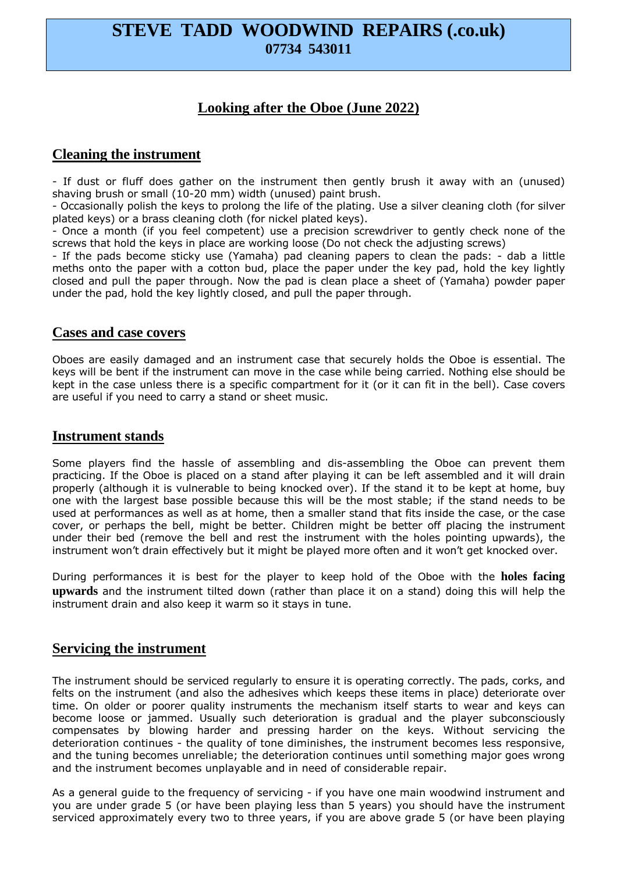# **STEVE TADD WOODWIND REPAIRS (.co.uk) 07734 543011**

## **Looking after the Oboe (June 2022)**

## **Cleaning the instrument**

- If dust or fluff does gather on the instrument then gently brush it away with an (unused) shaving brush or small (10-20 mm) width (unused) paint brush.

- Occasionally polish the keys to prolong the life of the plating. Use a silver cleaning cloth (for silver plated keys) or a brass cleaning cloth (for nickel plated keys).

- Once a month (if you feel competent) use a precision screwdriver to gently check none of the screws that hold the keys in place are working loose (Do not check the adjusting screws)

- If the pads become sticky use (Yamaha) pad cleaning papers to clean the pads: - dab a little meths onto the paper with a cotton bud, place the paper under the key pad, hold the key lightly closed and pull the paper through. Now the pad is clean place a sheet of (Yamaha) powder paper under the pad, hold the key lightly closed, and pull the paper through.

#### **Cases and case covers**

Oboes are easily damaged and an instrument case that securely holds the Oboe is essential. The keys will be bent if the instrument can move in the case while being carried. Nothing else should be kept in the case unless there is a specific compartment for it (or it can fit in the bell). Case covers are useful if you need to carry a stand or sheet music.

### **Instrument stands**

Some players find the hassle of assembling and dis-assembling the Oboe can prevent them practicing. If the Oboe is placed on a stand after playing it can be left assembled and it will drain properly (although it is vulnerable to being knocked over). If the stand it to be kept at home, buy one with the largest base possible because this will be the most stable; if the stand needs to be used at performances as well as at home, then a smaller stand that fits inside the case, or the case cover, or perhaps the bell, might be better. Children might be better off placing the instrument under their bed (remove the bell and rest the instrument with the holes pointing upwards), the instrument won't drain effectively but it might be played more often and it won't get knocked over.

During performances it is best for the player to keep hold of the Oboe with the **holes facing upwards** and the instrument tilted down (rather than place it on a stand) doing this will help the instrument drain and also keep it warm so it stays in tune.

## **Servicing the instrument**

The instrument should be serviced regularly to ensure it is operating correctly. The pads, corks, and felts on the instrument (and also the adhesives which keeps these items in place) deteriorate over time. On older or poorer quality instruments the mechanism itself starts to wear and keys can become loose or jammed. Usually such deterioration is gradual and the player subconsciously compensates by blowing harder and pressing harder on the keys. Without servicing the deterioration continues - the quality of tone diminishes, the instrument becomes less responsive, and the tuning becomes unreliable; the deterioration continues until something major goes wrong and the instrument becomes unplayable and in need of considerable repair.

As a general guide to the frequency of servicing - if you have one main woodwind instrument and you are under grade 5 (or have been playing less than 5 years) you should have the instrument serviced approximately every two to three years, if you are above grade 5 (or have been playing